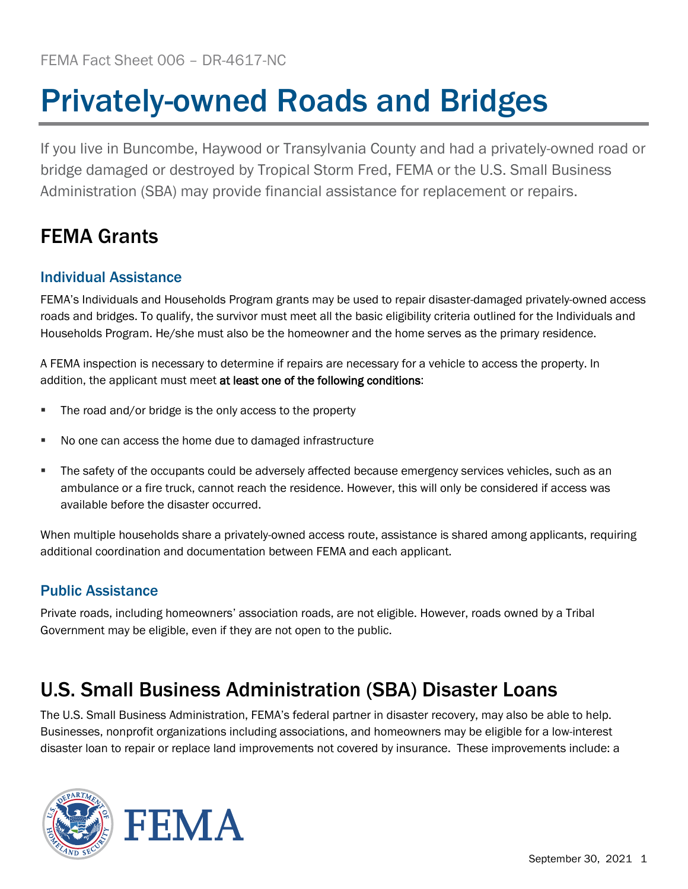# Privately-owned Roads and Bridges

If you live in Buncombe, Haywood or Transylvania County and had a privately-owned road or bridge damaged or destroyed by Tropical Storm Fred, FEMA or the U.S. Small Business Administration (SBA) may provide financial assistance for replacement or repairs.

## FEMA Grants

#### Individual Assistance

FEMA's Individuals and Households Program grants may be used to repair disaster-damaged privately-owned access roads and bridges. To qualify, the survivor must meet all the basic eligibility criteria outlined for the Individuals and Households Program. He/she must also be the homeowner and the home serves as the primary residence.

A FEMA inspection is necessary to determine if repairs are necessary for a vehicle to access the property. In addition, the applicant must meet at least one of the following conditions:

- The road and/or bridge is the only access to the property
- No one can access the home due to damaged infrastructure
- The safety of the occupants could be adversely affected because emergency services vehicles, such as an ambulance or a fire truck, cannot reach the residence. However, this will only be considered if access was available before the disaster occurred.

When multiple households share a privately-owned access route, assistance is shared among applicants, requiring additional coordination and documentation between FEMA and each applicant.

#### Public Assistance

Private roads, including homeowners' association roads, are not eligible. However, roads owned by a Tribal Government may be eligible, even if they are not open to the public.

### U.S. Small Business Administration (SBA) Disaster Loans

The U.S. Small Business Administration, FEMA's federal partner in disaster recovery, may also be able to help. Businesses, nonprofit organizations including associations, and homeowners may be eligible for a low-interest disaster loan to repair or replace land improvements not covered by insurance. These improvements include: a